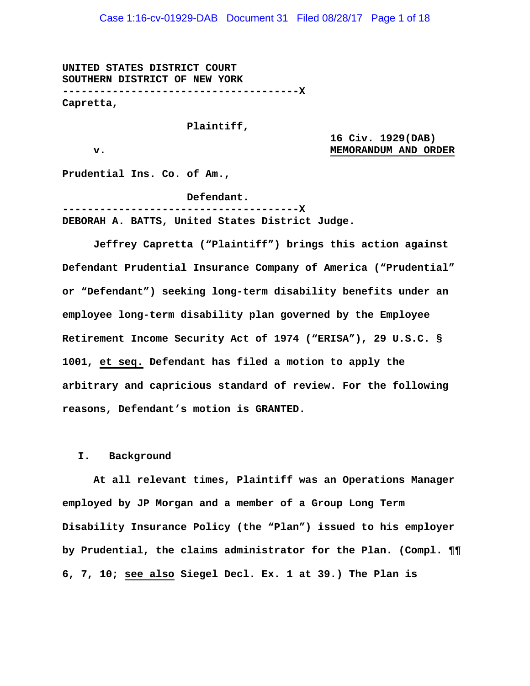Case 1:16-cv-01929-DAB Document 31 Filed 08/28/17 Page 1 of 18

**UNITED STATES DISTRICT COURT SOUTHERN DISTRICT OF NEW YORK --------------------------------------X Capretta,** 

 **Plaintiff,** 

 **16 Civ. 1929(DAB) v. we are the contract of the contract of the MEMORANDUM AND ORDER** 

**Prudential Ins. Co. of Am.,** 

 **Defendant.** 

**--------------------------------------X DEBORAH A. BATTS, United States District Judge.** 

**Jeffrey Capretta ("Plaintiff") brings this action against Defendant Prudential Insurance Company of America ("Prudential" or "Defendant") seeking long-term disability benefits under an employee long-term disability plan governed by the Employee Retirement Income Security Act of 1974 ("ERISA"), 29 U.S.C. § 1001, et seq. Defendant has filed a motion to apply the arbitrary and capricious standard of review. For the following reasons, Defendant's motion is GRANTED.** 

#### **I. Background**

**At all relevant times, Plaintiff was an Operations Manager employed by JP Morgan and a member of a Group Long Term Disability Insurance Policy (the "Plan") issued to his employer by Prudential, the claims administrator for the Plan. (Compl. ¶¶ 6, 7, 10; see also Siegel Decl. Ex. 1 at 39.) The Plan is**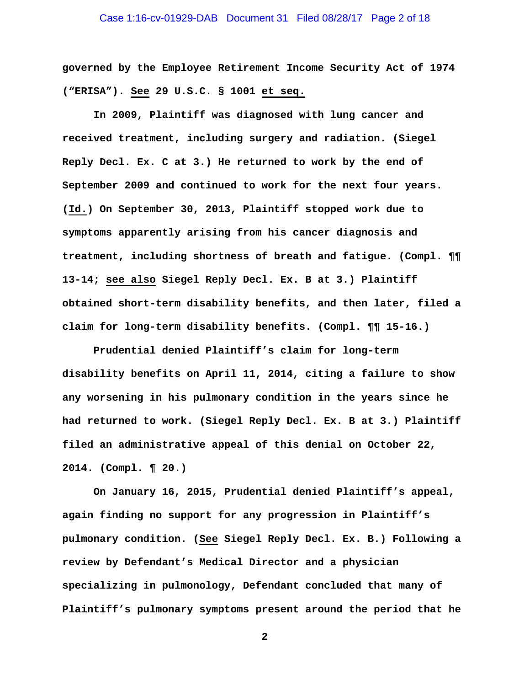# Case 1:16-cv-01929-DAB Document 31 Filed 08/28/17 Page 2 of 18

**governed by the Employee Retirement Income Security Act of 1974 ("ERISA"). See 29 U.S.C. § 1001 et seq.** 

**In 2009, Plaintiff was diagnosed with lung cancer and received treatment, including surgery and radiation. (Siegel Reply Decl. Ex. C at 3.) He returned to work by the end of September 2009 and continued to work for the next four years. (Id.) On September 30, 2013, Plaintiff stopped work due to symptoms apparently arising from his cancer diagnosis and treatment, including shortness of breath and fatigue. (Compl. ¶¶ 13-14; see also Siegel Reply Decl. Ex. B at 3.) Plaintiff obtained short-term disability benefits, and then later, filed a claim for long-term disability benefits. (Compl. ¶¶ 15-16.)** 

**Prudential denied Plaintiff's claim for long-term disability benefits on April 11, 2014, citing a failure to show any worsening in his pulmonary condition in the years since he had returned to work. (Siegel Reply Decl. Ex. B at 3.) Plaintiff filed an administrative appeal of this denial on October 22, 2014. (Compl. ¶ 20.)** 

**On January 16, 2015, Prudential denied Plaintiff's appeal, again finding no support for any progression in Plaintiff's pulmonary condition. (See Siegel Reply Decl. Ex. B.) Following a review by Defendant's Medical Director and a physician specializing in pulmonology, Defendant concluded that many of Plaintiff's pulmonary symptoms present around the period that he**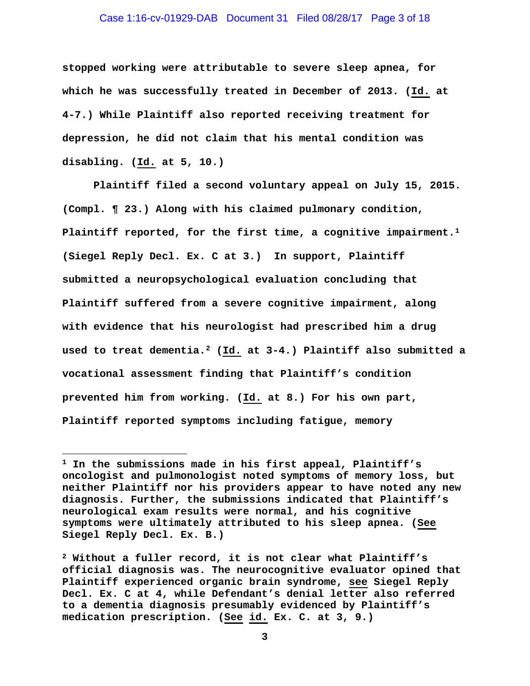#### Case 1:16-cv-01929-DAB Document 31 Filed 08/28/17 Page 3 of 18

**stopped working were attributable to severe sleep apnea, for which he was successfully treated in December of 2013. (Id. at 4-7.) While Plaintiff also reported receiving treatment for depression, he did not claim that his mental condition was disabling. (Id. at 5, 10.)** 

**Plaintiff filed a second voluntary appeal on July 15, 2015. (Compl. ¶ 23.) Along with his claimed pulmonary condition, Plaintiff reported, for the first time, a cognitive impairment.1 (Siegel Reply Decl. Ex. C at 3.) In support, Plaintiff submitted a neuropsychological evaluation concluding that Plaintiff suffered from a severe cognitive impairment, along with evidence that his neurologist had prescribed him a drug used to treat dementia.2 (Id. at 3-4.) Plaintiff also submitted a vocational assessment finding that Plaintiff's condition prevented him from working. (Id. at 8.) For his own part, Plaintiff reported symptoms including fatigue, memory** 

**<sup>1</sup> In the submissions made in his first appeal, Plaintiff's oncologist and pulmonologist noted symptoms of memory loss, but neither Plaintiff nor his providers appear to have noted any new diagnosis. Further, the submissions indicated that Plaintiff's neurological exam results were normal, and his cognitive symptoms were ultimately attributed to his sleep apnea. (See Siegel Reply Decl. Ex. B.)** 

**<sup>2</sup> Without a fuller record, it is not clear what Plaintiff's official diagnosis was. The neurocognitive evaluator opined that Plaintiff experienced organic brain syndrome, see Siegel Reply Decl. Ex. C at 4, while Defendant's denial letter also referred to a dementia diagnosis presumably evidenced by Plaintiff's medication prescription. (See id. Ex. C. at 3, 9.)**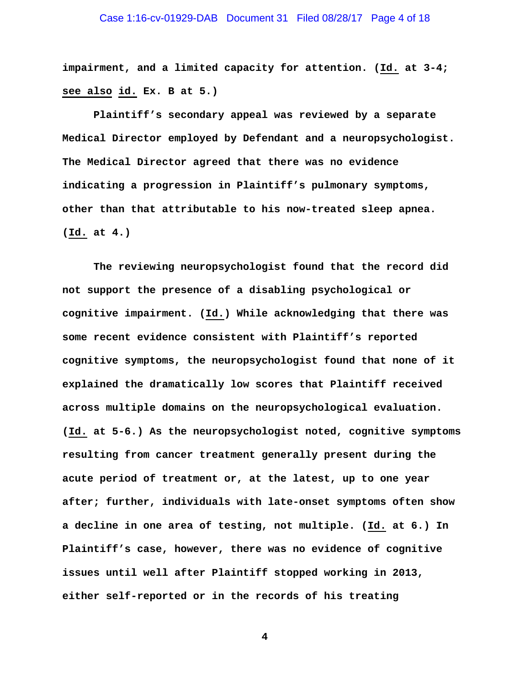**impairment, and a limited capacity for attention. (Id. at 3-4; see also id. Ex. B at 5.)** 

**Plaintiff's secondary appeal was reviewed by a separate Medical Director employed by Defendant and a neuropsychologist. The Medical Director agreed that there was no evidence indicating a progression in Plaintiff's pulmonary symptoms, other than that attributable to his now-treated sleep apnea. (Id. at 4.)** 

**The reviewing neuropsychologist found that the record did not support the presence of a disabling psychological or cognitive impairment. (Id.) While acknowledging that there was some recent evidence consistent with Plaintiff's reported cognitive symptoms, the neuropsychologist found that none of it explained the dramatically low scores that Plaintiff received across multiple domains on the neuropsychological evaluation. (Id. at 5-6.) As the neuropsychologist noted, cognitive symptoms resulting from cancer treatment generally present during the acute period of treatment or, at the latest, up to one year after; further, individuals with late-onset symptoms often show a decline in one area of testing, not multiple. (Id. at 6.) In Plaintiff's case, however, there was no evidence of cognitive issues until well after Plaintiff stopped working in 2013, either self-reported or in the records of his treating**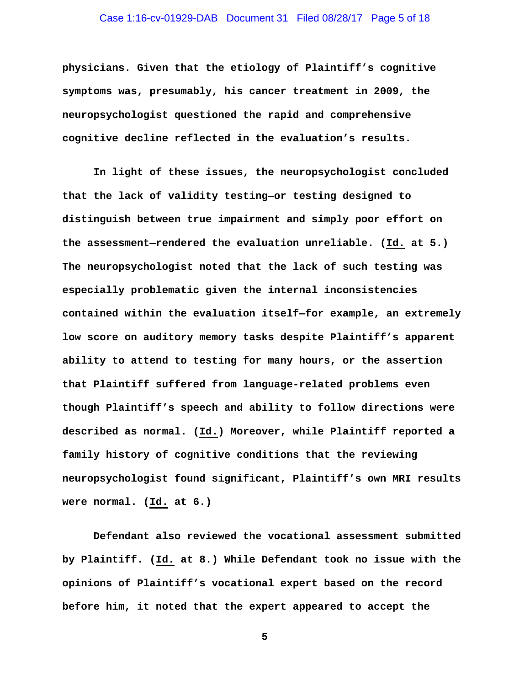# Case 1:16-cv-01929-DAB Document 31 Filed 08/28/17 Page 5 of 18

**physicians. Given that the etiology of Plaintiff's cognitive symptoms was, presumably, his cancer treatment in 2009, the neuropsychologist questioned the rapid and comprehensive cognitive decline reflected in the evaluation's results.** 

**In light of these issues, the neuropsychologist concluded that the lack of validity testing—or testing designed to distinguish between true impairment and simply poor effort on the assessment—rendered the evaluation unreliable. (Id. at 5.) The neuropsychologist noted that the lack of such testing was especially problematic given the internal inconsistencies contained within the evaluation itself—for example, an extremely low score on auditory memory tasks despite Plaintiff's apparent ability to attend to testing for many hours, or the assertion that Plaintiff suffered from language-related problems even though Plaintiff's speech and ability to follow directions were described as normal. (Id.) Moreover, while Plaintiff reported a family history of cognitive conditions that the reviewing neuropsychologist found significant, Plaintiff's own MRI results were normal. (Id. at 6.)** 

**Defendant also reviewed the vocational assessment submitted by Plaintiff. (Id. at 8.) While Defendant took no issue with the opinions of Plaintiff's vocational expert based on the record before him, it noted that the expert appeared to accept the**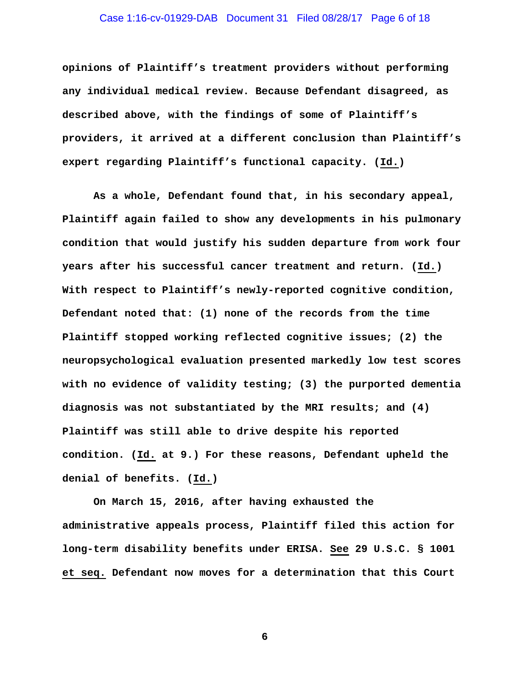# Case 1:16-cv-01929-DAB Document 31 Filed 08/28/17 Page 6 of 18

**opinions of Plaintiff's treatment providers without performing any individual medical review. Because Defendant disagreed, as described above, with the findings of some of Plaintiff's providers, it arrived at a different conclusion than Plaintiff's expert regarding Plaintiff's functional capacity. (Id.)** 

**As a whole, Defendant found that, in his secondary appeal, Plaintiff again failed to show any developments in his pulmonary condition that would justify his sudden departure from work four years after his successful cancer treatment and return. (Id.) With respect to Plaintiff's newly-reported cognitive condition, Defendant noted that: (1) none of the records from the time Plaintiff stopped working reflected cognitive issues; (2) the neuropsychological evaluation presented markedly low test scores with no evidence of validity testing; (3) the purported dementia diagnosis was not substantiated by the MRI results; and (4) Plaintiff was still able to drive despite his reported condition. (Id. at 9.) For these reasons, Defendant upheld the denial of benefits. (Id.)** 

**On March 15, 2016, after having exhausted the administrative appeals process, Plaintiff filed this action for long-term disability benefits under ERISA. See 29 U.S.C. § 1001 et seq. Defendant now moves for a determination that this Court**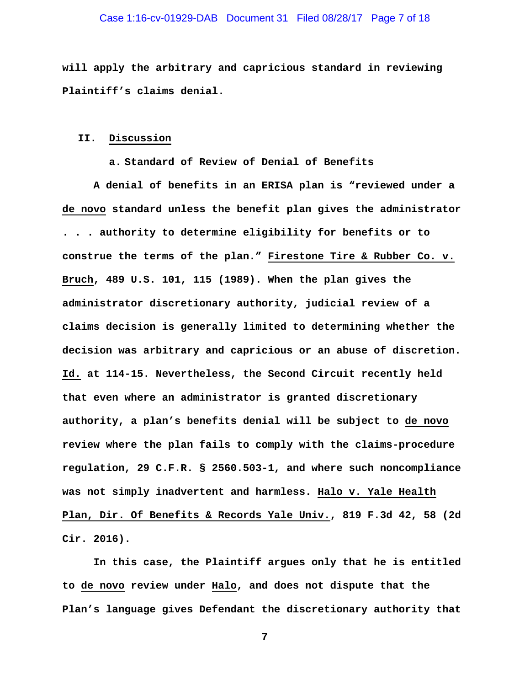#### Case 1:16-cv-01929-DAB Document 31 Filed 08/28/17 Page 7 of 18

**will apply the arbitrary and capricious standard in reviewing Plaintiff's claims denial.** 

#### **II. Discussion**

**a. Standard of Review of Denial of Benefits** 

**A denial of benefits in an ERISA plan is "reviewed under a de novo standard unless the benefit plan gives the administrator . . . authority to determine eligibility for benefits or to construe the terms of the plan." Firestone Tire & Rubber Co. v. Bruch, 489 U.S. 101, 115 (1989). When the plan gives the administrator discretionary authority, judicial review of a claims decision is generally limited to determining whether the decision was arbitrary and capricious or an abuse of discretion. Id. at 114-15. Nevertheless, the Second Circuit recently held that even where an administrator is granted discretionary authority, a plan's benefits denial will be subject to de novo review where the plan fails to comply with the claims-procedure regulation, 29 C.F.R. § 2560.503-1, and where such noncompliance was not simply inadvertent and harmless. Halo v. Yale Health Plan, Dir. Of Benefits & Records Yale Univ., 819 F.3d 42, 58 (2d Cir. 2016).** 

**In this case, the Plaintiff argues only that he is entitled to de novo review under Halo, and does not dispute that the Plan's language gives Defendant the discretionary authority that**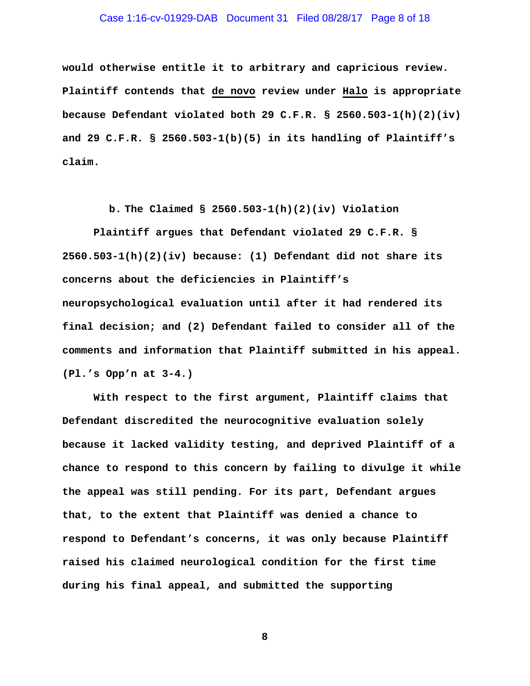# Case 1:16-cv-01929-DAB Document 31 Filed 08/28/17 Page 8 of 18

**would otherwise entitle it to arbitrary and capricious review. Plaintiff contends that de novo review under Halo is appropriate because Defendant violated both 29 C.F.R. § 2560.503-1(h)(2)(iv) and 29 C.F.R. § 2560.503-1(b)(5) in its handling of Plaintiff's claim.** 

**b. The Claimed § 2560.503-1(h)(2)(iv) Violation** 

**Plaintiff argues that Defendant violated 29 C.F.R. § 2560.503-1(h)(2)(iv) because: (1) Defendant did not share its concerns about the deficiencies in Plaintiff's neuropsychological evaluation until after it had rendered its final decision; and (2) Defendant failed to consider all of the comments and information that Plaintiff submitted in his appeal. (Pl.'s Opp'n at 3-4.)** 

**With respect to the first argument, Plaintiff claims that Defendant discredited the neurocognitive evaluation solely because it lacked validity testing, and deprived Plaintiff of a chance to respond to this concern by failing to divulge it while the appeal was still pending. For its part, Defendant argues that, to the extent that Plaintiff was denied a chance to respond to Defendant's concerns, it was only because Plaintiff raised his claimed neurological condition for the first time during his final appeal, and submitted the supporting**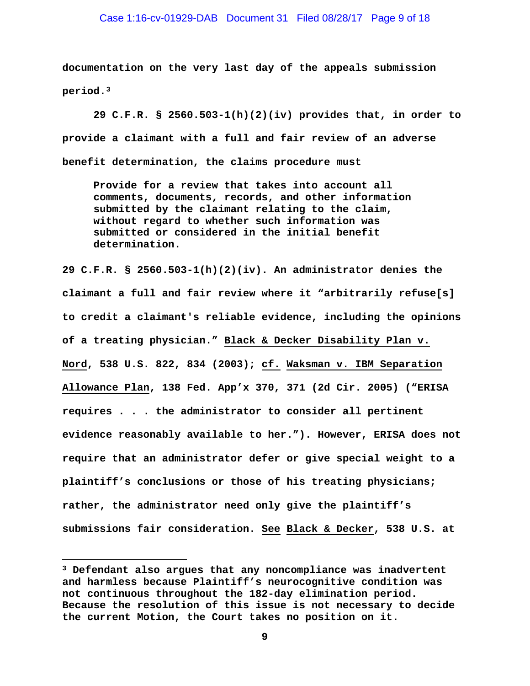**documentation on the very last day of the appeals submission period.3** 

**29 C.F.R. § 2560.503-1(h)(2)(iv) provides that, in order to provide a claimant with a full and fair review of an adverse benefit determination, the claims procedure must** 

**Provide for a review that takes into account all comments, documents, records, and other information submitted by the claimant relating to the claim, without regard to whether such information was submitted or considered in the initial benefit determination.** 

**29 C.F.R. § 2560.503-1(h)(2)(iv). An administrator denies the claimant a full and fair review where it "arbitrarily refuse[s] to credit a claimant's reliable evidence, including the opinions of a treating physician." Black & Decker Disability Plan v. Nord, 538 U.S. 822, 834 (2003); cf. Waksman v. IBM Separation Allowance Plan, 138 Fed. App'x 370, 371 (2d Cir. 2005) ("ERISA requires . . . the administrator to consider all pertinent evidence reasonably available to her."). However, ERISA does not require that an administrator defer or give special weight to a plaintiff's conclusions or those of his treating physicians; rather, the administrator need only give the plaintiff's submissions fair consideration. See Black & Decker, 538 U.S. at** 

**<sup>3</sup> Defendant also argues that any noncompliance was inadvertent and harmless because Plaintiff's neurocognitive condition was not continuous throughout the 182-day elimination period. Because the resolution of this issue is not necessary to decide the current Motion, the Court takes no position on it.**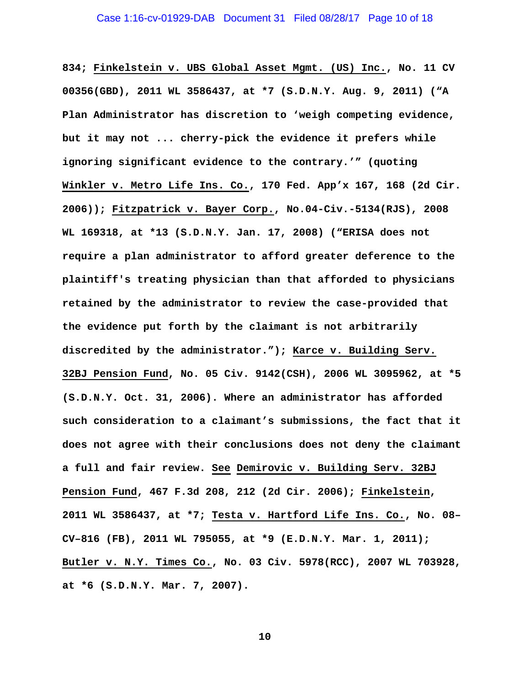**834; Finkelstein v. UBS Global Asset Mgmt. (US) Inc., No. 11 CV 00356(GBD), 2011 WL 3586437, at \*7 (S.D.N.Y. Aug. 9, 2011) ("A Plan Administrator has discretion to 'weigh competing evidence, but it may not ... cherry-pick the evidence it prefers while ignoring significant evidence to the contrary.'" (quoting Winkler v. Metro Life Ins. Co., 170 Fed. App'x 167, 168 (2d Cir. 2006)); Fitzpatrick v. Bayer Corp., No.04-Civ.-5134(RJS), 2008 WL 169318, at \*13 (S.D.N.Y. Jan. 17, 2008) ("ERISA does not require a plan administrator to afford greater deference to the plaintiff's treating physician than that afforded to physicians retained by the administrator to review the case-provided that the evidence put forth by the claimant is not arbitrarily discredited by the administrator."); Karce v. Building Serv. 32BJ Pension Fund, No. 05 Civ. 9142(CSH), 2006 WL 3095962, at \*5 (S.D.N.Y. Oct. 31, 2006). Where an administrator has afforded such consideration to a claimant's submissions, the fact that it does not agree with their conclusions does not deny the claimant a full and fair review. See Demirovic v. Building Serv. 32BJ Pension Fund, 467 F.3d 208, 212 (2d Cir. 2006); Finkelstein, 2011 WL 3586437, at \*7; Testa v. Hartford Life Ins. Co., No. 08– CV–816 (FB), 2011 WL 795055, at \*9 (E.D.N.Y. Mar. 1, 2011); Butler v. N.Y. Times Co., No. 03 Civ. 5978(RCC), 2007 WL 703928, at \*6 (S.D.N.Y. Mar. 7, 2007).**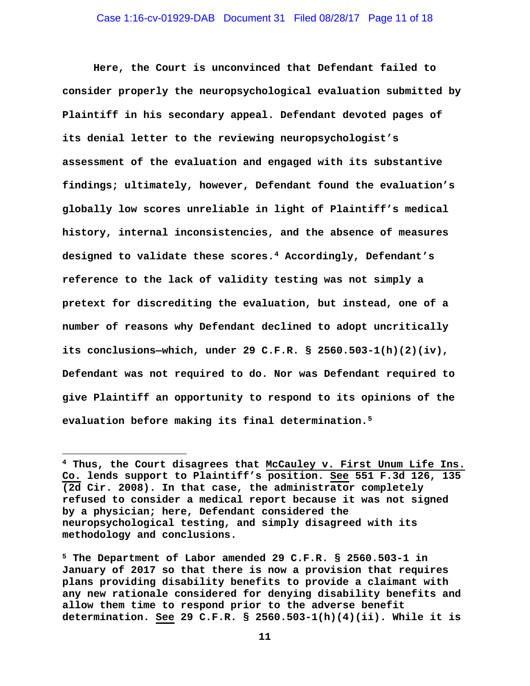**Here, the Court is unconvinced that Defendant failed to consider properly the neuropsychological evaluation submitted by Plaintiff in his secondary appeal. Defendant devoted pages of its denial letter to the reviewing neuropsychologist's assessment of the evaluation and engaged with its substantive findings; ultimately, however, Defendant found the evaluation's globally low scores unreliable in light of Plaintiff's medical history, internal inconsistencies, and the absence of measures designed to validate these scores.4 Accordingly, Defendant's reference to the lack of validity testing was not simply a pretext for discrediting the evaluation, but instead, one of a number of reasons why Defendant declined to adopt uncritically its conclusions—which, under 29 C.F.R. § 2560.503-1(h)(2)(iv), Defendant was not required to do. Nor was Defendant required to give Plaintiff an opportunity to respond to its opinions of the evaluation before making its final determination.5** 

**<sup>4</sup> Thus, the Court disagrees that McCauley v. First Unum Life Ins. Co. lends support to Plaintiff's position. See 551 F.3d 126, 135 (2d Cir. 2008). In that case, the administrator completely refused to consider a medical report because it was not signed by a physician; here, Defendant considered the neuropsychological testing, and simply disagreed with its methodology and conclusions.** 

**<sup>5</sup> The Department of Labor amended 29 C.F.R. § 2560.503-1 in January of 2017 so that there is now a provision that requires plans providing disability benefits to provide a claimant with any new rationale considered for denying disability benefits and allow them time to respond prior to the adverse benefit determination. See 29 C.F.R. § 2560.503-1(h)(4)(ii). While it is**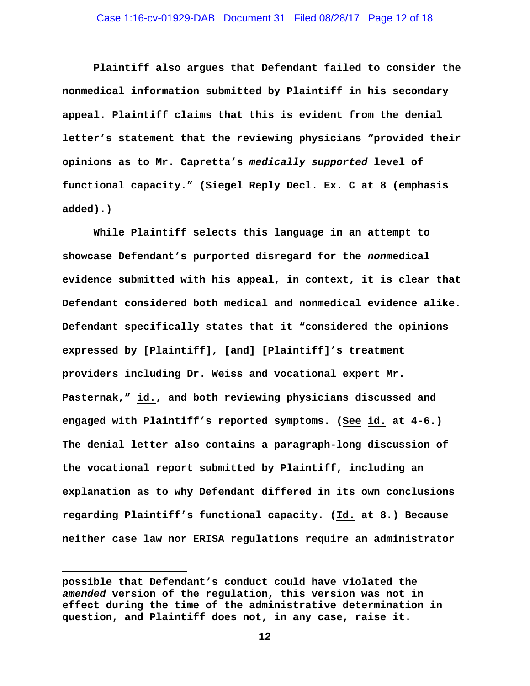# Case 1:16-cv-01929-DAB Document 31 Filed 08/28/17 Page 12 of 18

**Plaintiff also argues that Defendant failed to consider the nonmedical information submitted by Plaintiff in his secondary appeal. Plaintiff claims that this is evident from the denial letter's statement that the reviewing physicians "provided their opinions as to Mr. Capretta's** *medically supported* **level of functional capacity." (Siegel Reply Decl. Ex. C at 8 (emphasis added).)** 

**While Plaintiff selects this language in an attempt to showcase Defendant's purported disregard for the** *non***medical evidence submitted with his appeal, in context, it is clear that Defendant considered both medical and nonmedical evidence alike. Defendant specifically states that it "considered the opinions expressed by [Plaintiff], [and] [Plaintiff]'s treatment providers including Dr. Weiss and vocational expert Mr. Pasternak," id., and both reviewing physicians discussed and engaged with Plaintiff's reported symptoms. (See id. at 4-6.) The denial letter also contains a paragraph-long discussion of the vocational report submitted by Plaintiff, including an explanation as to why Defendant differed in its own conclusions regarding Plaintiff's functional capacity. (Id. at 8.) Because neither case law nor ERISA regulations require an administrator** 

**possible that Defendant's conduct could have violated the**  *amended* **version of the regulation, this version was not in effect during the time of the administrative determination in question, and Plaintiff does not, in any case, raise it.**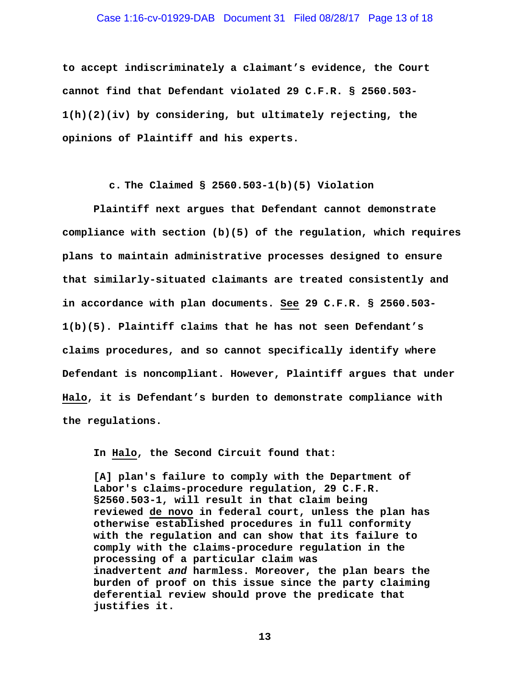#### Case 1:16-cv-01929-DAB Document 31 Filed 08/28/17 Page 13 of 18

**to accept indiscriminately a claimant's evidence, the Court cannot find that Defendant violated 29 C.F.R. § 2560.503- 1(h)(2)(iv) by considering, but ultimately rejecting, the opinions of Plaintiff and his experts.** 

**c. The Claimed § 2560.503-1(b)(5) Violation** 

 **Plaintiff next argues that Defendant cannot demonstrate compliance with section (b)(5) of the regulation, which requires plans to maintain administrative processes designed to ensure that similarly-situated claimants are treated consistently and in accordance with plan documents. See 29 C.F.R. § 2560.503- 1(b)(5). Plaintiff claims that he has not seen Defendant's claims procedures, and so cannot specifically identify where Defendant is noncompliant. However, Plaintiff argues that under Halo, it is Defendant's burden to demonstrate compliance with the regulations.** 

**In Halo, the Second Circuit found that:** 

**[A] plan's failure to comply with the Department of Labor's claims-procedure regulation, 29 C.F.R. §2560.503-1, will result in that claim being reviewed de novo in federal court, unless the plan has otherwise established procedures in full conformity with the regulation and can show that its failure to comply with the claims-procedure regulation in the processing of a particular claim was inadvertent** *and* **harmless. Moreover, the plan bears the burden of proof on this issue since the party claiming deferential review should prove the predicate that justifies it.**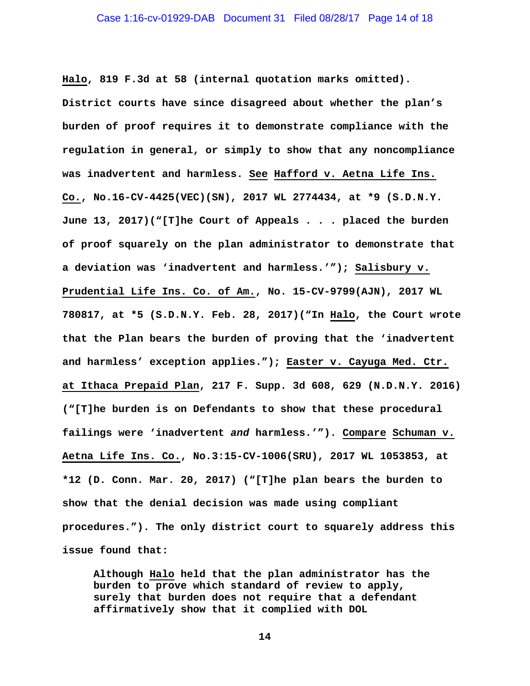**Halo, 819 F.3d at 58 (internal quotation marks omitted). District courts have since disagreed about whether the plan's burden of proof requires it to demonstrate compliance with the regulation in general, or simply to show that any noncompliance was inadvertent and harmless. See Hafford v. Aetna Life Ins. Co., No.16-CV-4425(VEC)(SN), 2017 WL 2774434, at \*9 (S.D.N.Y. June 13, 2017)("[T]he Court of Appeals . . . placed the burden of proof squarely on the plan administrator to demonstrate that a deviation was 'inadvertent and harmless.'"); Salisbury v. Prudential Life Ins. Co. of Am., No. 15-CV-9799(AJN), 2017 WL 780817, at \*5 (S.D.N.Y. Feb. 28, 2017)("In Halo, the Court wrote that the Plan bears the burden of proving that the 'inadvertent and harmless' exception applies."); Easter v. Cayuga Med. Ctr. at Ithaca Prepaid Plan, 217 F. Supp. 3d 608, 629 (N.D.N.Y. 2016) ("[T]he burden is on Defendants to show that these procedural failings were 'inadvertent** *and* **harmless.'"). Compare Schuman v. Aetna Life Ins. Co., No.3:15-CV-1006(SRU), 2017 WL 1053853, at \*12 (D. Conn. Mar. 20, 2017) ("[T]he plan bears the burden to show that the denial decision was made using compliant procedures."). The only district court to squarely address this issue found that:** 

**Although Halo held that the plan administrator has the burden to prove which standard of review to apply, surely that burden does not require that a defendant affirmatively show that it complied with DOL**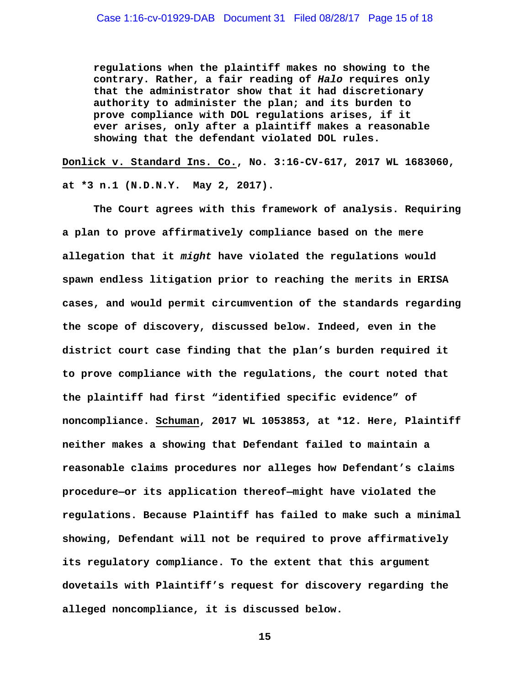**regulations when the plaintiff makes no showing to the contrary. Rather, a fair reading of** *Halo* **requires only that the administrator show that it had discretionary authority to administer the plan; and its burden to prove compliance with DOL regulations arises, if it ever arises, only after a plaintiff makes a reasonable showing that the defendant violated DOL rules.** 

**Donlick v. Standard Ins. Co., No. 3:16-CV-617, 2017 WL 1683060,** 

**at \*3 n.1 (N.D.N.Y. May 2, 2017).** 

**The Court agrees with this framework of analysis. Requiring a plan to prove affirmatively compliance based on the mere allegation that it** *might* **have violated the regulations would spawn endless litigation prior to reaching the merits in ERISA cases, and would permit circumvention of the standards regarding the scope of discovery, discussed below. Indeed, even in the district court case finding that the plan's burden required it to prove compliance with the regulations, the court noted that the plaintiff had first "identified specific evidence" of noncompliance. Schuman, 2017 WL 1053853, at \*12. Here, Plaintiff neither makes a showing that Defendant failed to maintain a reasonable claims procedures nor alleges how Defendant's claims procedure—or its application thereof—might have violated the regulations. Because Plaintiff has failed to make such a minimal showing, Defendant will not be required to prove affirmatively its regulatory compliance. To the extent that this argument dovetails with Plaintiff's request for discovery regarding the alleged noncompliance, it is discussed below.**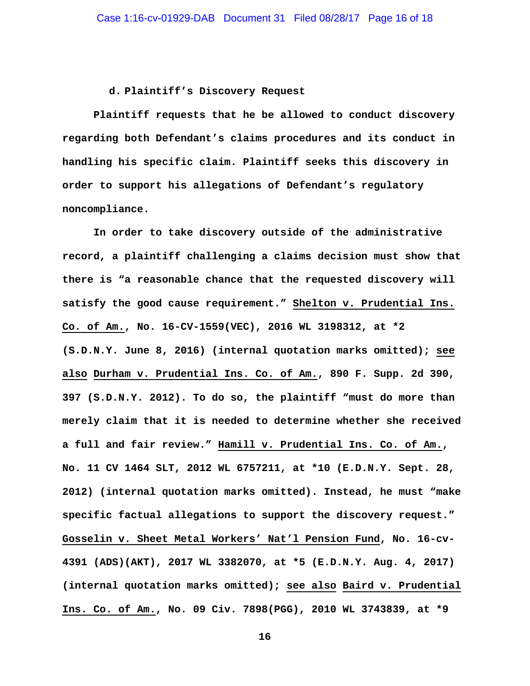#### **d. Plaintiff's Discovery Request**

**Plaintiff requests that he be allowed to conduct discovery regarding both Defendant's claims procedures and its conduct in handling his specific claim. Plaintiff seeks this discovery in order to support his allegations of Defendant's regulatory noncompliance.** 

**In order to take discovery outside of the administrative record, a plaintiff challenging a claims decision must show that there is "a reasonable chance that the requested discovery will satisfy the good cause requirement." Shelton v. Prudential Ins. Co. of Am., No. 16-CV-1559(VEC), 2016 WL 3198312, at \*2 (S.D.N.Y. June 8, 2016) (internal quotation marks omitted); see also Durham v. Prudential Ins. Co. of Am., 890 F. Supp. 2d 390, 397 (S.D.N.Y. 2012). To do so, the plaintiff "must do more than merely claim that it is needed to determine whether she received a full and fair review." Hamill v. Prudential Ins. Co. of Am., No. 11 CV 1464 SLT, 2012 WL 6757211, at \*10 (E.D.N.Y. Sept. 28, 2012) (internal quotation marks omitted). Instead, he must "make specific factual allegations to support the discovery request." Gosselin v. Sheet Metal Workers' Nat'l Pension Fund, No. 16-cv-4391 (ADS)(AKT), 2017 WL 3382070, at \*5 (E.D.N.Y. Aug. 4, 2017) (internal quotation marks omitted); see also Baird v. Prudential Ins. Co. of Am., No. 09 Civ. 7898(PGG), 2010 WL 3743839, at \*9**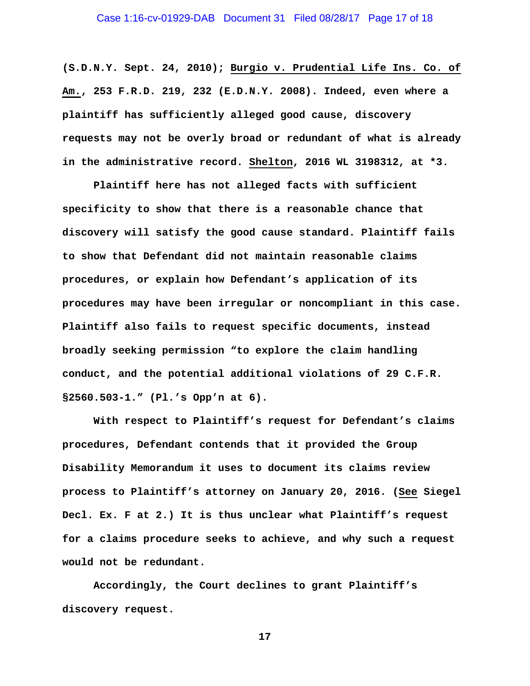# Case 1:16-cv-01929-DAB Document 31 Filed 08/28/17 Page 17 of 18

**(S.D.N.Y. Sept. 24, 2010); Burgio v. Prudential Life Ins. Co. of Am., 253 F.R.D. 219, 232 (E.D.N.Y. 2008). Indeed, even where a plaintiff has sufficiently alleged good cause, discovery requests may not be overly broad or redundant of what is already in the administrative record. Shelton, 2016 WL 3198312, at \*3.** 

**Plaintiff here has not alleged facts with sufficient specificity to show that there is a reasonable chance that discovery will satisfy the good cause standard. Plaintiff fails to show that Defendant did not maintain reasonable claims procedures, or explain how Defendant's application of its procedures may have been irregular or noncompliant in this case. Plaintiff also fails to request specific documents, instead broadly seeking permission "to explore the claim handling conduct, and the potential additional violations of 29 C.F.R. §2560.503-1." (Pl.'s Opp'n at 6).** 

**With respect to Plaintiff's request for Defendant's claims procedures, Defendant contends that it provided the Group Disability Memorandum it uses to document its claims review process to Plaintiff's attorney on January 20, 2016. (See Siegel Decl. Ex. F at 2.) It is thus unclear what Plaintiff's request for a claims procedure seeks to achieve, and why such a request would not be redundant.** 

**Accordingly, the Court declines to grant Plaintiff's discovery request.**